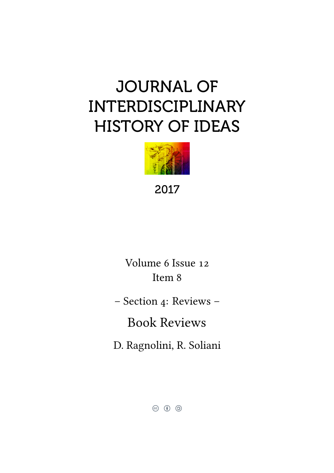# JOURNAL OF INTERDISCIPLINARY HISTORY OF IDEAS



2017

Volume 6 Issue 12 Item 8

– Section 4: Reviews –

Book Reviews

D. Ragnolini, R. Soliani

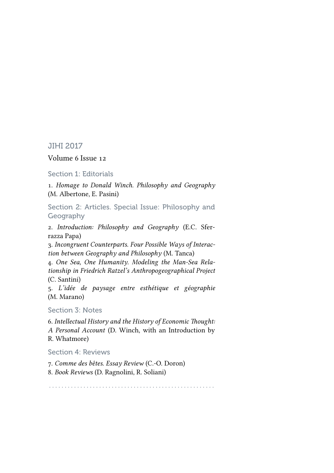#### JIHI 2017

#### Volume 6 Issue 12

Section 1: Editorials

1. *Homage to Donald Winch. Philosophy and Geography* (M. Albertone, E. Pasini)

Section 2: Articles. Special Issue: Philosophy and Geography

2. *Introduction: Philosophy and Geography* (E.C. Sferrazza Papa)

3. *Incongruent Counterparts. Four Possible Ways of Interaction between Geography and Philosophy* (M. Tanca)

4. *One Sea, One Humanity. Modeling the Man-Sea Relationship in Friedrich Ratzel's Anthropogeographical Project* (C. Santini)

5. *L'idée de paysage entre esthétique et géographie* (M. Marano)

#### Section 3: Notes

6. *Intellectual History and the History of Economic Thought: A Personal Account* (D. Winch, with an Introduction by R. Whatmore)

Section 4: Reviews

7. *Comme des bêtes. Essay Review* (C.-O. Doron) 8. *Book Reviews* (D. Ragnolini, R. Soliani)

. . . . . . . . . . . . . . . . . . . . . . . . . . . . . . . . . . . . . . . . . . . . . . . . . . . . .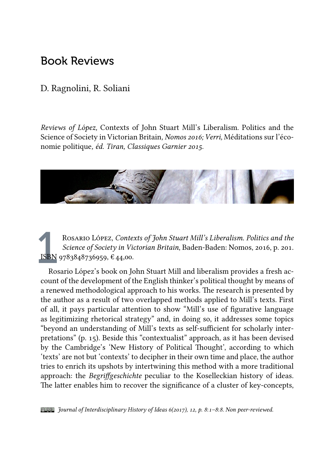## Book Reviews

### D. Ragnolini, R. Soliani

*Reviews of López,* Contexts of John Stuart Mill's Liberalism. Politics and the Science of Society in Victorian Britain*, Nomos 2016; Verri,* Méditations sur l'économie politique*, éd. Tiran, Classiques Garnier 2015.*



ISBN<br>Ros Rosario López, *Contexts of John Stuart Mill's Liberalism. Politics and the Science of Society in Victorian Britain*, Baden-Baden: Nomos, 2016, p. 201. ISBN 9783848736959, € 44,00.

Rosario López's book on John Stuart Mill and liberalism provides a fresh account of the development of the English thinker's political thought by means of a renewed methodological approach to his works. The research is presented by the author as a result of two overlapped methods applied to Mill's texts. First of all, it pays particular attention to show "Mill's use of figurative language as legitimizing rhetorical strategy" and, in doing so, it addresses some topics "beyond an understanding of Mill's texts as self-sufficient for scholarly interpretations" (p. 15). Beside this "contextualist" approach, as it has been devised by the Cambridge's 'New History of Political Thought', according to which 'texts' are not but 'contexts' to decipher in their own time and place, the author tries to enrich its upshots by intertwining this method with a more traditional approach: the *Begriffgeschichte* peculiar to the Koselleckian history of ideas. The latter enables him to recover the significance of a cluster of key-concepts,

*Journal of Interdisciplinary History of Ideas 6(2017), 12, p. 8*:*1–8*:*8. Non peer-reviewed.*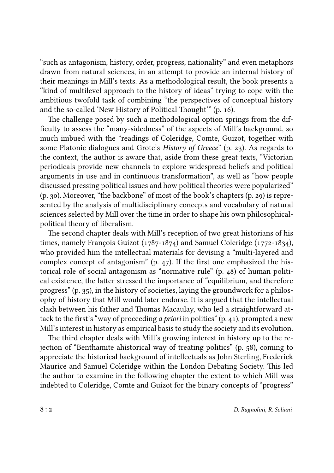"such as antagonism, history, order, progress, nationality" and even metaphors drawn from natural sciences, in an attempt to provide an internal history of their meanings in Mill's texts. As a methodological result, the book presents a "kind of multilevel approach to the history of ideas" trying to cope with the ambitious twofold task of combining "the perspectives of conceptual history and the so-called 'New History of Political Thought'" (p. 16).

The challenge posed by such a methodological option springs from the difficulty to assess the "many-sidedness" of the aspects of Mill's background, so much imbued with the "readings of Coleridge, Comte, Guizot, together with some Platonic dialogues and Grote's *History of Greece*" (p. 23). As regards to the context, the author is aware that, aside from these great texts, "Victorian periodicals provide new channels to explore widespread beliefs and political arguments in use and in continuous transformation", as well as "how people discussed pressing political issues and how political theories were popularized" (p. 30). Moreover, "the backbone" of most of the book's chapters (p. 29) is represented by the analysis of multidisciplinary concepts and vocabulary of natural sciences selected by Mill over the time in order to shape his own philosophicalpolitical theory of liberalism.

The second chapter deals with Mill's reception of two great historians of his times, namely François Guizot (1787-1874) and Samuel Coleridge (1772-1834), who provided him the intellectual materials for devising a "multi-layered and complex concept of antagonism" (p. 47). If the first one emphasized the historical role of social antagonism as "normative rule" (p. 48) of human political existence, the latter stressed the importance of "equilibrium, and therefore progress" (p. 35), in the history of societies, laying the groundwork for a philosophy of history that Mill would later endorse. It is argued that the intellectual clash between his father and Thomas Macaulay, who led a straightforward attack to the first's "way of proceeding *a priori* in politics" (p. 41), prompted a new Mill's interest in history as empirical basis to study the society and its evolution.

The third chapter deals with Mill's growing interest in history up to the rejection of "Benthamite ahistorical way of treating politics" (p. 58), coming to appreciate the historical background of intellectuals as John Sterling, Frederick Maurice and Samuel Coleridge within the London Debating Society. This led the author to examine in the following chapter the extent to which Mill was indebted to Coleridge, Comte and Guizot for the binary concepts of "progress"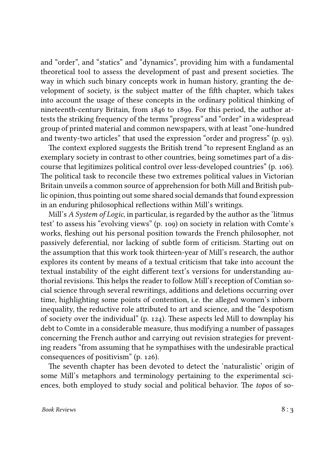and "order", and "statics" and "dynamics", providing him with a fundamental theoretical tool to assess the development of past and present societies. The way in which such binary concepts work in human history, granting the development of society, is the subject matter of the fifth chapter, which takes into account the usage of these concepts in the ordinary political thinking of nineteenth-century Britain, from 1846 to 1899. For this period, the author attests the striking frequency of the terms "progress" and "order" in a widespread group of printed material and common newspapers, with at least "one-hundred and twenty-two articles" that used the expression "order and progress" (p. 93).

The context explored suggests the British trend "to represent England as an exemplary society in contrast to other countries, being sometimes part of a discourse that legitimizes political control over less-developed countries" (p. 106). The political task to reconcile these two extremes political values in Victorian Britain unveils a common source of apprehension for both Mill and British public opinion, thus pointing out some shared social demands that found expression in an enduring philosophical reflections within Mill's writings.

Mill's *A System of Logic*, in particular, is regarded by the author as the 'litmus test' to assess his "evolving views" (p. 109) on society in relation with Comte's works, fleshing out his personal position towards the French philosopher, not passively deferential, nor lacking of subtle form of criticism. Starting out on the assumption that this work took thirteen-year of Mill's research, the author explores its content by means of a textual criticism that take into account the textual instability of the eight different text's versions for understanding authorial revisions. This helps the reader to follow Mill's reception of Comtian social science through several rewritings, additions and deletions occurring over time, highlighting some points of contention, i.e. the alleged women's inborn inequality, the reductive role attributed to art and science, and the "despotism of society over the individual" (p. 124). These aspects led Mill to downplay his debt to Comte in a considerable measure, thus modifying a number of passages concerning the French author and carrying out revision strategies for preventing readers "from assuming that he sympathises with the undesirable practical consequences of positivism" (p. 126).

The seventh chapter has been devoted to detect the 'naturalistic' origin of some Mill's metaphors and terminology pertaining to the experimental sciences, both employed to study social and political behavior. The *topos* of so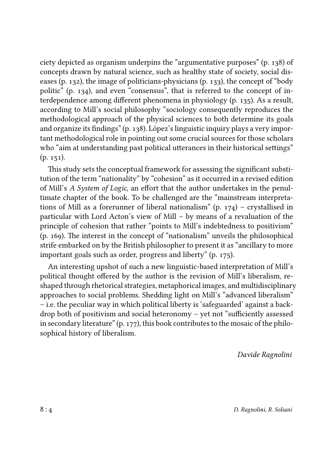ciety depicted as organism underpins the "argumentative purposes" (p. 138) of concepts drawn by natural science, such as healthy state of society, social diseases (p. 132), the image of politicians-physicians (p. 133), the concept of "body politic" (p. 134), and even "consensus", that is referred to the concept of interdependence among different phenomena in physiology (p. 135). As a result, according to Mill's social philosophy "sociology consequently reproduces the methodological approach of the physical sciences to both determine its goals and organize its findings" (p. 138). López's linguistic inquiry plays a very important methodological role in pointing out some crucial sources for those scholars who "aim at understanding past political utterances in their historical settings" (p. 151).

This study sets the conceptual framework for assessing the significant substitution of the term "nationality" by "cohesion" as it occurred in a revised edition of Mill's *A System of Logic*, an effort that the author undertakes in the penultimate chapter of the book. To be challenged are the "mainstream interpretations of Mill as a forerunner of liberal nationalism" (p. 174) – crystallised in particular with Lord Acton's view of Mill – by means of a revaluation of the principle of cohesion that rather "points to Mill's indebtedness to positivism" (p. 169). The interest in the concept of "nationalism" unveils the philosophical strife embarked on by the British philosopher to present it as "ancillary to more important goals such as order, progress and liberty" (p. 175).

An interesting upshot of such a new linguistic-based interpretation of Mill's political thought offered by the author is the revision of Mill's liberalism, reshaped through rhetorical strategies, metaphorical images, and multidisciplinary approaches to social problems. Shedding light on Mill's "advanced liberalism" – i.e. the peculiar way in which political liberty is 'safeguarded' against a backdrop both of positivism and social heteronomy – yet not "sufficiently assessed in secondary literature" (p. 177), this book contributes to the mosaic of the philosophical history of liberalism.

*Davide Ragnolini*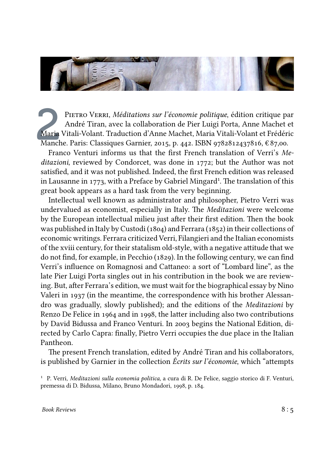

Maria<br>Manch PIETRO VERRI, *Méditations sur l'économie politique*, édition critique par André Tiran, avec la collaboration de Pier Luigi Porta, Anne Machet et Maria Vitali-Volant. Traduction d'Anne Machet, Maria Vitali-Volant et Frédéric Manche. Paris: Classiques Garnier, 2015, p. 442. ISBN 9782812437816, € 87,00.

Franco Venturi informs us that the first French translation of Verri's *Meditazioni*, reviewed by Condorcet, was done in 1772; but the Author was not satisfied, and it was not published. Indeed, the first French edition was released in Lausanne in 1773, with a Preface by Gabriel Mingard<sup>1</sup>. The translation of this great book appears as a hard task from the very beginning.

Intellectual well known as administrator and philosopher, Pietro Verri was undervalued as economist, especially in Italy. The *Meditazioni* were welcome by the European intellectual milieu just after their first edition. Then the book was published in Italy by Custodi (1804) and Ferrara (1852) in their collections of economic writings. Ferrara criticized Verri, Filangieri and the Italian economists of the xviii century, for their statalism old-style, with a negative attitude that we do not find, for example, in Pecchio (1829). In the following century, we can find Verri's influence on Romagnosi and Cattaneo: a sort of "Lombard line", as the late Pier Luigi Porta singles out in his contribution in the book we are reviewing. But, after Ferrara's edition, we must wait for the biographical essay by Nino Valeri in 1937 (in the meantime, the correspondence with his brother Alessandro was gradually, slowly published); and the editions of the *Meditazioni* by Renzo De Felice in 1964 and in 1998, the latter including also two contributions by David Bidussa and Franco Venturi. In 2003 begins the National Edition, directed by Carlo Capra: finally, Pietro Verri occupies the due place in the Italian Pantheon.

The present French translation, edited by André Tiran and his collaborators, is published by Garnier in the collection *Écrits sur l'économie*, which "attempts

¹ P. Verri, *Meditazioni sulla economia politica*, a cura di R. De Felice, saggio storico di F. Venturi, premessa di D. Bidussa, Milano, Bruno Mondadori, 1998, p. 184.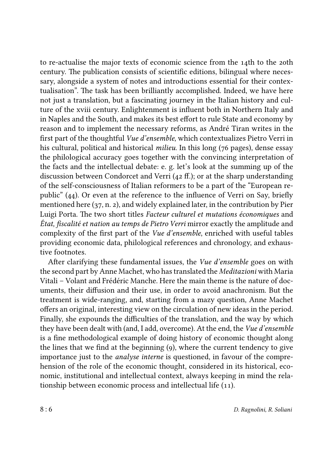to re-actualise the major texts of economic science from the 14th to the 20th century. The publication consists of scientific editions, bilingual where necessary, alongside a system of notes and introductions essential for their contextualisation". The task has been brilliantly accomplished. Indeed, we have here not just a translation, but a fascinating journey in the Italian history and culture of the xviii century. Enlightenment is influent both in Northern Italy and in Naples and the South, and makes its best effort to rule State and economy by reason and to implement the necessary reforms, as André Tiran writes in the first part of the thoughtful *Vue d'ensemble*, which contextualizes Pietro Verri in his cultural, political and historical *milieu*. In this long (76 pages), dense essay the philological accuracy goes together with the convincing interpretation of the facts and the intellectual debate: e. g. let's look at the summing up of the discussion between Condorcet and Verri (42 ff.); or at the sharp understanding of the self-consciousness of Italian reformers to be a part of the "European republic" (44). Or even at the reference to the influence of Verri on Say, briefly mentioned here (37, n. 2), and widely explained later, in the contribution by Pier Luigi Porta. The two short titles *Facteur culturel et mutations économiques* and *État, fiscalité et nation au temps de Pietro Verri* mirror exactly the amplitude and complexity of the first part of the *Vue d'ensemble*, enriched with useful tables providing economic data, philological references and chronology, and exhaustive footnotes.

After clarifying these fundamental issues, the *Vue d'ensemble* goes on with the second part by Anne Machet, who has translated the *Meditazioni* with Maria Vitali – Volant and Frédéric Manche. Here the main theme is the nature of documents, their diffusion and their use, in order to avoid anachronism. But the treatment is wide-ranging, and, starting from a mazy question, Anne Machet offers an original, interesting view on the circulation of new ideas in the period. Finally, she expounds the difficulties of the translation, and the way by which they have been dealt with (and, I add, overcome). At the end, the *Vue d'ensemble* is a fine methodological example of doing history of economic thought along the lines that we find at the beginning (9), where the current tendency to give importance just to the *analyse interne* is questioned, in favour of the comprehension of the role of the economic thought, considered in its historical, economic, institutional and intellectual context, always keeping in mind the relationship between economic process and intellectual life (11).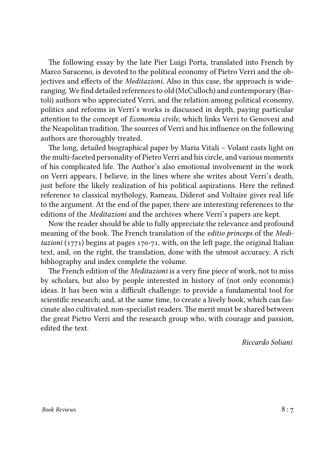The following essay by the late Pier Luigi Porta, translated into French by Marco Saraceno, is devoted to the political economy of Pietro Verri and the objectives and effects of the *Meditazioni*. Also in this case, the approach is wideranging. We find detailed references to old (McCulloch) and contemporary (Bartoli) authors who appreciated Verri, and the relation among political economy, politics and reforms in Verri's works is discussed in depth, paying particular attention to the concept of *Economia civile*, which links Verri to Genovesi and the Neapolitan tradition. The sources of Verri and his influence on the following authors are thoroughly treated.

The long, detailed biographical paper by Maria Vitali – Volant casts light on the multi-faceted personality of Pietro Verri and his circle, and various moments of his complicated life. The Author's also emotional involvement in the work on Verri appears, I believe, in the lines where she writes about Verri's death, just before the likely realization of his political aspirations. Here the refined reference to classical mythology, Rameau, Diderot and Voltaire gives real life to the argument. At the end of the paper, there are interesting references to the editions of the *Meditazioni* and the archives where Verri's papers are kept.

Now the reader should be able to fully appreciate the relevance and profound meaning of the book. The French translation of the *editio princeps* of the *Meditazioni* (1771) begins at pages 170-71, with, on the left page, the original Italian text, and, on the right, the translation, done with the utmost accuracy. A rich bibliography and index complete the volume.

The French edition of the *Meditazioni* is a very fine piece of work, not to miss by scholars, but also by people interested in history of (not only economic) ideas. It has been win a difficult challenge: to provide a fundamental tool for scientific research; and, at the same time, to create a lively book, which can fascinate also cultivated, non-specialist readers. The merit must be shared between the great Pietro Verri and the research group who, with courage and passion, edited the text.

*Riccardo Soliani*